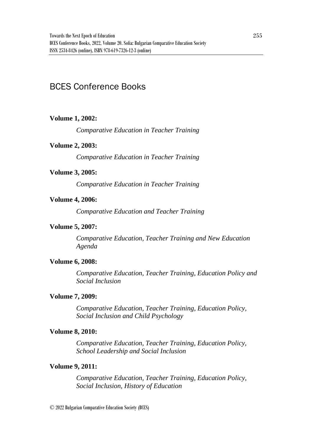# BCES Conference Books

# **Volume 1, 2002:**

*Comparative Education in Teacher Training* 

### **Volume 2, 2003:**

*Comparative Education in Teacher Training*

# **Volume 3, 2005:**

*Comparative Education in Teacher Training*

### **Volume 4, 2006:**

*Comparative Education and Teacher Training*

# **Volume 5, 2007:**

*Comparative Education, Teacher Training and New Education Agenda*

# **Volume 6, 2008:**

*Comparative Education, Teacher Training, Education Policy and Social Inclusion*

#### **Volume 7, 2009:**

*Comparative Education, Teacher Training, Education Policy, Social Inclusion and Child Psychology*

#### **Volume 8, 2010:**

*Comparative Education, Teacher Training, Education Policy, School Leadership and Social Inclusion*

#### **Volume 9, 2011:**

*Comparative Education, Teacher Training, Education Policy, Social Inclusion, History of Education*